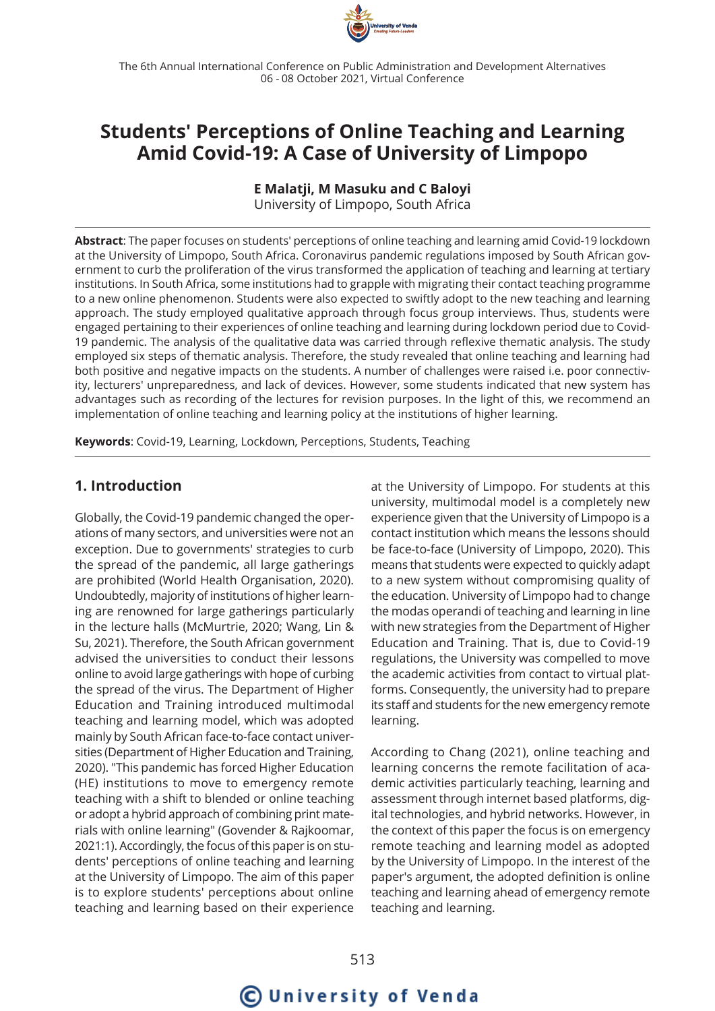

The 6th Annual International Conference on Public Administration and Development Alternatives 06 - 08 October 2021, Virtual Conference

## **Students' Perceptions of Online Teaching and Learning Amid Covid-19: A Case of University of Limpopo**

**E Malatji, M Masuku and C Baloyi**

University of Limpopo, South Africa

**Abstract**: The paper focuses on students' perceptions of online teaching and learning amid Covid-19 lockdown at the University of Limpopo, South Africa. Coronavirus pandemic regulations imposed by South African government to curb the proliferation of the virus transformed the application of teaching and learning at tertiary institutions. In South Africa, some institutions had to grapple with migrating their contact teaching programme to a new online phenomenon. Students were also expected to swiftly adopt to the new teaching and learning approach. The study employed qualitative approach through focus group interviews. Thus, students were engaged pertaining to their experiences of online teaching and learning during lockdown period due to Covid-19 pandemic. The analysis of the qualitative data was carried through reflexive thematic analysis. The study employed six steps of thematic analysis. Therefore, the study revealed that online teaching and learning had both positive and negative impacts on the students. A number of challenges were raised i.e. poor connectivity, lecturers' unpreparedness, and lack of devices. However, some students indicated that new system has advantages such as recording of the lectures for revision purposes. In the light of this, we recommend an implementation of online teaching and learning policy at the institutions of higher learning.

**Keywords**: Covid-19, Learning, Lockdown, Perceptions, Students, Teaching

## **1. Introduction**

Globally, the Covid-19 pandemic changed the operations of many sectors, and universities were not an exception. Due to governments' strategies to curb the spread of the pandemic, all large gatherings are prohibited (World Health Organisation, 2020). Undoubtedly, majority of institutions of higher learning are renowned for large gatherings particularly in the lecture halls (McMurtrie, 2020; Wang, Lin & Su, 2021). Therefore, the South African government advised the universities to conduct their lessons online to avoid large gatherings with hope of curbing the spread of the virus. The Department of Higher Education and Training introduced multimodal teaching and learning model, which was adopted mainly by South African face-to-face contact universities (Department of Higher Education and Training, 2020). "This pandemic has forced Higher Education (HE) institutions to move to emergency remote teaching with a shift to blended or online teaching or adopt a hybrid approach of combining print materials with online learning" (Govender & Rajkoomar, 2021:1). Accordingly, the focus of this paper is on students' perceptions of online teaching and learning at the University of Limpopo. The aim of this paper is to explore students' perceptions about online teaching and learning based on their experience

at the University of Limpopo. For students at this university, multimodal model is a completely new experience given that the University of Limpopo is a contact institution which means the lessons should be face-to-face (University of Limpopo, 2020). This means that students were expected to quickly adapt to a new system without compromising quality of the education. University of Limpopo had to change the modas operandi of teaching and learning in line with new strategies from the Department of Higher Education and Training. That is, due to Covid-19 regulations, the University was compelled to move the academic activities from contact to virtual platforms. Consequently, the university had to prepare its staff and students for the new emergency remote learning.

According to Chang (2021), online teaching and learning concerns the remote facilitation of academic activities particularly teaching, learning and assessment through internet based platforms, digital technologies, and hybrid networks. However, in the context of this paper the focus is on emergency remote teaching and learning model as adopted by the University of Limpopo. In the interest of the paper's argument, the adopted definition is online teaching and learning ahead of emergency remote teaching and learning.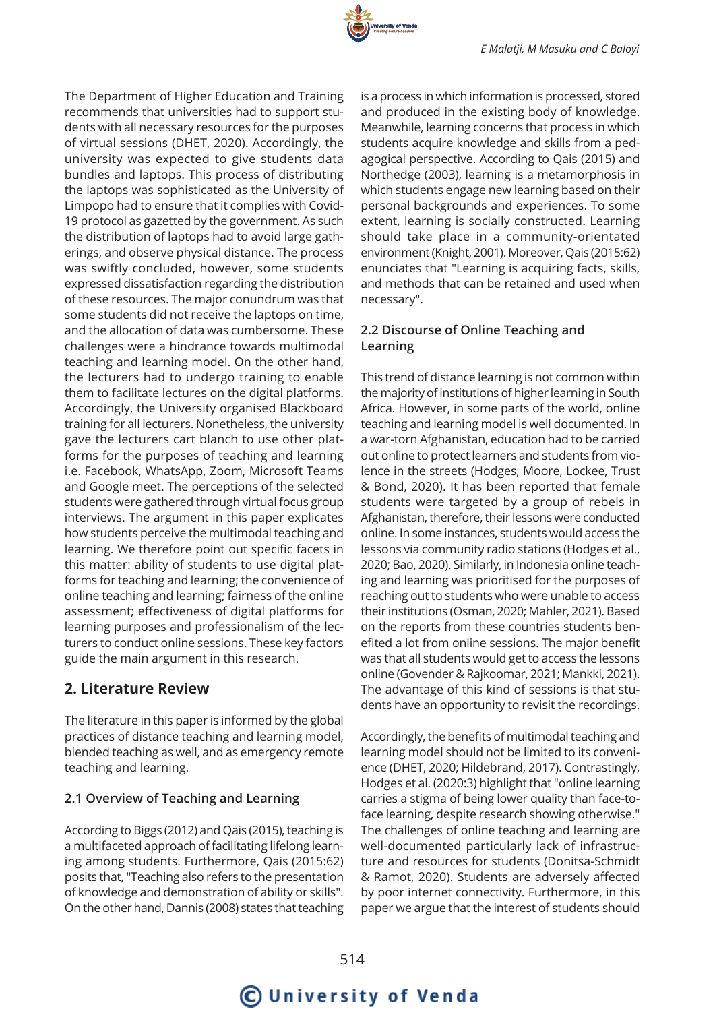

The Department of Higher Education and Training recommends that universities had to support students with all necessary resources for the purposes of virtual sessions (DHET, 2020). Accordingly, the university was expected to give students data bundles and laptops. This process of distributing the laptops was sophisticated as the University of Limpopo had to ensure that it complies with Covid-19 protocol as gazetted by the government. As such the distribution of laptops had to avoid large gatherings, and observe physical distance. The process was swiftly concluded, however, some students expressed dissatisfaction regarding the distribution of these resources. The major conundrum was that some students did not receive the laptops on time, and the allocation of data was cumbersome. These challenges were a hindrance towards multimodal teaching and learning model. On the other hand, the lecturers had to undergo training to enable them to facilitate lectures on the digital platforms. Accordingly, the University organised Blackboard training for all lecturers. Nonetheless, the university gave the lecturers cart blanch to use other platforms for the purposes of teaching and learning i.e. Facebook, WhatsApp, Zoom, Microsoft Teams and Google meet. The perceptions of the selected students were gathered through virtual focus group interviews. The argument in this paper explicates how students perceive the multimodal teaching and learning. We therefore point out specific facets in this matter: ability of students to use digital platforms for teaching and learning; the convenience of online teaching and learning; fairness of the online assessment; effectiveness of digital platforms for learning purposes and professionalism of the lecturers to conduct online sessions. These key factors guide the main argument in this research.

## **2. Literature Review**

The literature in this paper is informed by the global practices of distance teaching and learning model, blended teaching as well, and as emergency remote teaching and learning.

## **2.1 Overview of Teaching and Learning**

According to Biggs (2012) and Qais (2015), teaching is a multifaceted approach of facilitating lifelong learning among students. Furthermore, Qais (2015:62) posits that, "Teaching also refers to the presentation of knowledge and demonstration of ability or skills". On the other hand, Dannis (2008) states that teaching is a process in which information is processed, stored and produced in the existing body of knowledge. Meanwhile, learning concerns that process in which students acquire knowledge and skills from a pedagogical perspective. According to Qais (2015) and Northedge (2003), learning is a metamorphosis in which students engage new learning based on their personal backgrounds and experiences. To some extent, learning is socially constructed. Learning should take place in a community-orientated environment (Knight, 2001). Moreover, Qais (2015:62) enunciates that "Learning is acquiring facts, skills, and methods that can be retained and used when necessary".

## **2.2 Discourse of Online Teaching and Learning**

This trend of distance learning is not common within the majority of institutions of higher learning in South Africa. However, in some parts of the world, online teaching and learning model is well documented. In a war-torn Afghanistan, education had to be carried out online to protect learners and students from violence in the streets (Hodges, Moore, Lockee, Trust & Bond, 2020). It has been reported that female students were targeted by a group of rebels in Afghanistan, therefore, their lessons were conducted online. In some instances, students would access the lessons via community radio stations (Hodges et al., 2020; Bao, 2020). Similarly, in Indonesia online teaching and learning was prioritised for the purposes of reaching out to students who were unable to access their institutions (Osman, 2020; Mahler, 2021). Based on the reports from these countries students benefited a lot from online sessions. The major benefit was that all students would get to access the lessons online (Govender & Rajkoomar, 2021; Mankki, 2021). The advantage of this kind of sessions is that students have an opportunity to revisit the recordings.

Accordingly, the benefits of multimodal teaching and learning model should not be limited to its convenience (DHET, 2020; Hildebrand, 2017). Contrastingly, Hodges et al. (2020:3) highlight that "online learning carries a stigma of being lower quality than face-toface learning, despite research showing otherwise." The challenges of online teaching and learning are well-documented particularly lack of infrastructure and resources for students (Donitsa-Schmidt & Ramot, 2020). Students are adversely affected by poor internet connectivity. Furthermore, in this paper we argue that the interest of students should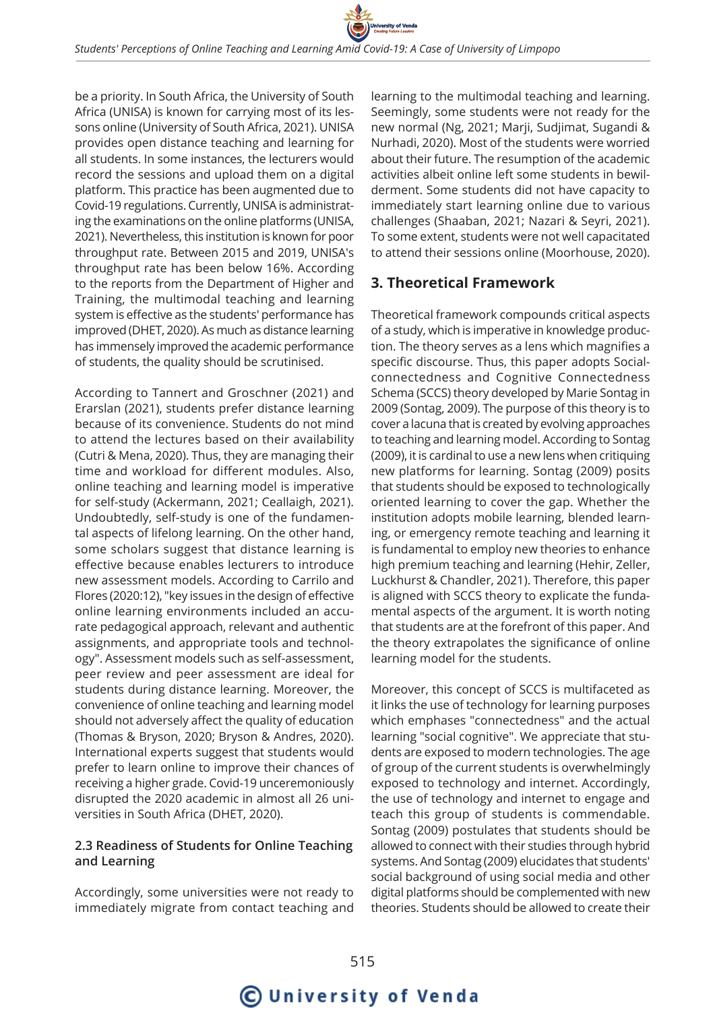

be a priority. In South Africa, the University of South Africa (UNISA) is known for carrying most of its lessons online (University of South Africa, 2021). UNISA provides open distance teaching and learning for all students. In some instances, the lecturers would record the sessions and upload them on a digital platform. This practice has been augmented due to Covid-19 regulations. Currently, UNISA is administrating the examinations on the online platforms (UNISA, 2021). Nevertheless, this institution is known for poor throughput rate. Between 2015 and 2019, UNISA's throughput rate has been below 16%. According to the reports from the Department of Higher and Training, the multimodal teaching and learning system is effective as the students' performance has improved (DHET, 2020). As much as distance learning has immensely improved the academic performance of students, the quality should be scrutinised.

According to Tannert and Groschner (2021) and Erarslan (2021), students prefer distance learning because of its convenience. Students do not mind to attend the lectures based on their availability (Cutri & Mena, 2020). Thus, they are managing their time and workload for different modules. Also, online teaching and learning model is imperative for self-study (Ackermann, 2021; Ceallaigh, 2021). Undoubtedly, self-study is one of the fundamental aspects of lifelong learning. On the other hand, some scholars suggest that distance learning is effective because enables lecturers to introduce new assessment models. According to Carrilo and Flores (2020:12), "key issues in the design of effective online learning environments included an accurate pedagogical approach, relevant and authentic assignments, and appropriate tools and technology". Assessment models such as self-assessment, peer review and peer assessment are ideal for students during distance learning. Moreover, the convenience of online teaching and learning model should not adversely affect the quality of education (Thomas & Bryson, 2020; Bryson & Andres, 2020). International experts suggest that students would prefer to learn online to improve their chances of receiving a higher grade. Covid-19 unceremoniously disrupted the 2020 academic in almost all 26 universities in South Africa (DHET, 2020).

### **2.3 Readiness of Students for Online Teaching and Learning**

Accordingly, some universities were not ready to immediately migrate from contact teaching and learning to the multimodal teaching and learning. Seemingly, some students were not ready for the new normal (Ng, 2021; Marji, Sudjimat, Sugandi & Nurhadi, 2020). Most of the students were worried about their future. The resumption of the academic activities albeit online left some students in bewilderment. Some students did not have capacity to immediately start learning online due to various challenges (Shaaban, 2021; Nazari & Seyri, 2021). To some extent, students were not well capacitated to attend their sessions online (Moorhouse, 2020).

## **3. Theoretical Framework**

Theoretical framework compounds critical aspects of a study, which is imperative in knowledge production. The theory serves as a lens which magnifies a specific discourse. Thus, this paper adopts Socialconnectedness and Cognitive Connectedness Schema (SCCS) theory developed by Marie Sontag in 2009 (Sontag, 2009). The purpose of this theory is to cover a lacuna that is created by evolving approaches to teaching and learning model. According to Sontag (2009), it is cardinal to use a new lens when critiquing new platforms for learning. Sontag (2009) posits that students should be exposed to technologically oriented learning to cover the gap. Whether the institution adopts mobile learning, blended learning, or emergency remote teaching and learning it is fundamental to employ new theories to enhance high premium teaching and learning (Hehir, Zeller, Luckhurst & Chandler, 2021). Therefore, this paper is aligned with SCCS theory to explicate the fundamental aspects of the argument. It is worth noting that students are at the forefront of this paper. And the theory extrapolates the significance of online learning model for the students.

Moreover, this concept of SCCS is multifaceted as it links the use of technology for learning purposes which emphases "connectedness" and the actual learning "social cognitive". We appreciate that students are exposed to modern technologies. The age of group of the current students is overwhelmingly exposed to technology and internet. Accordingly, the use of technology and internet to engage and teach this group of students is commendable. Sontag (2009) postulates that students should be allowed to connect with their studies through hybrid systems. And Sontag (2009) elucidates that students' social background of using social media and other digital platforms should be complemented with new theories. Students should be allowed to create their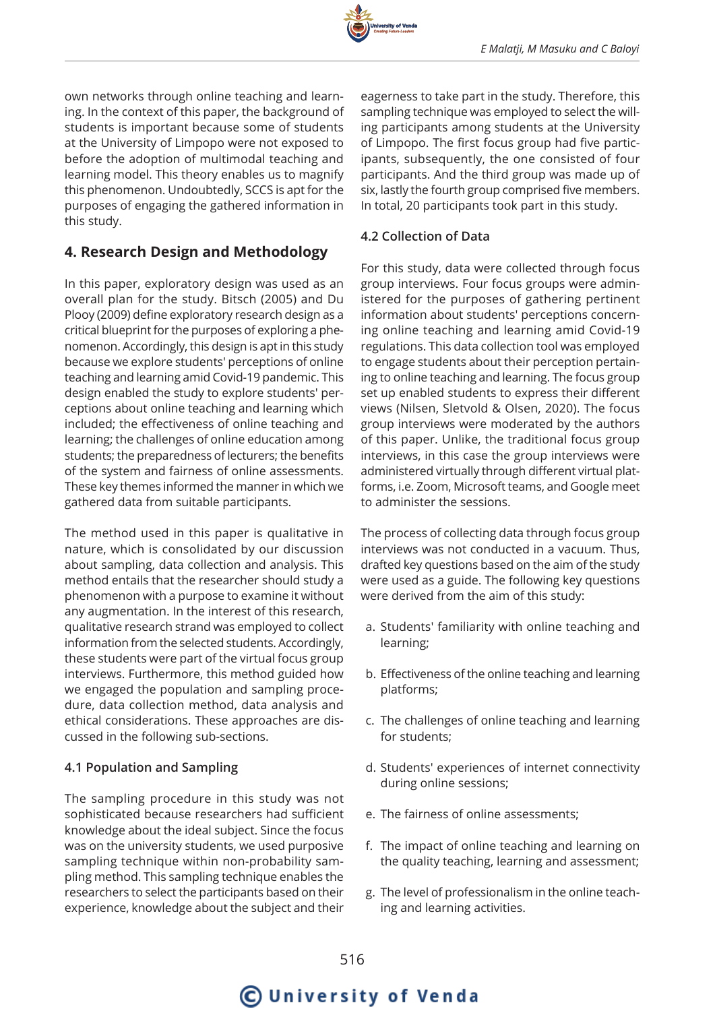

own networks through online teaching and learning. In the context of this paper, the background of students is important because some of students at the University of Limpopo were not exposed to before the adoption of multimodal teaching and learning model. This theory enables us to magnify this phenomenon. Undoubtedly, SCCS is apt for the purposes of engaging the gathered information in this study.

## **4. Research Design and Methodology**

In this paper, exploratory design was used as an overall plan for the study. Bitsch (2005) and Du Plooy (2009) define exploratory research design as a critical blueprint for the purposes of exploring a phenomenon. Accordingly, this design is apt in this study because we explore students' perceptions of online teaching and learning amid Covid-19 pandemic. This design enabled the study to explore students' perceptions about online teaching and learning which included; the effectiveness of online teaching and learning; the challenges of online education among students; the preparedness of lecturers; the benefits of the system and fairness of online assessments. These key themes informed the manner in which we gathered data from suitable participants.

The method used in this paper is qualitative in nature, which is consolidated by our discussion about sampling, data collection and analysis. This method entails that the researcher should study a phenomenon with a purpose to examine it without any augmentation. In the interest of this research, qualitative research strand was employed to collect information from the selected students. Accordingly, these students were part of the virtual focus group interviews. Furthermore, this method guided how we engaged the population and sampling procedure, data collection method, data analysis and ethical considerations. These approaches are discussed in the following sub-sections.

## **4.1 Population and Sampling**

The sampling procedure in this study was not sophisticated because researchers had sufficient knowledge about the ideal subject. Since the focus was on the university students, we used purposive sampling technique within non-probability sampling method. This sampling technique enables the researchers to select the participants based on their experience, knowledge about the subject and their eagerness to take part in the study. Therefore, this sampling technique was employed to select the willing participants among students at the University of Limpopo. The first focus group had five participants, subsequently, the one consisted of four participants. And the third group was made up of six, lastly the fourth group comprised five members. In total, 20 participants took part in this study.

## **4.2 Collection of Data**

For this study, data were collected through focus group interviews. Four focus groups were administered for the purposes of gathering pertinent information about students' perceptions concerning online teaching and learning amid Covid-19 regulations. This data collection tool was employed to engage students about their perception pertaining to online teaching and learning. The focus group set up enabled students to express their different views (Nilsen, Sletvold & Olsen, 2020). The focus group interviews were moderated by the authors of this paper. Unlike, the traditional focus group interviews, in this case the group interviews were administered virtually through different virtual platforms, i.e. Zoom, Microsoft teams, and Google meet to administer the sessions.

The process of collecting data through focus group interviews was not conducted in a vacuum. Thus, drafted key questions based on the aim of the study were used as a guide. The following key questions were derived from the aim of this study:

- a. Students' familiarity with online teaching and learning;
- b. Effectiveness of the online teaching and learning platforms;
- c. The challenges of online teaching and learning for students;
- d. Students' experiences of internet connectivity during online sessions;
- e. The fairness of online assessments;
- f. The impact of online teaching and learning on the quality teaching, learning and assessment;
- g. The level of professionalism in the online teaching and learning activities.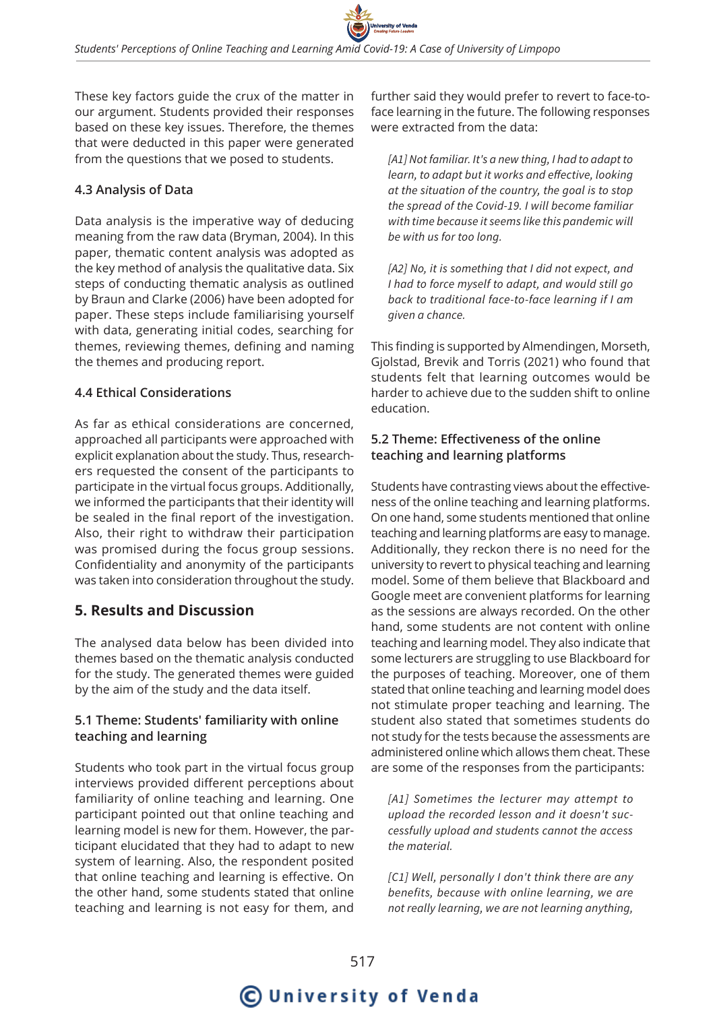These key factors guide the crux of the matter in our argument. Students provided their responses based on these key issues. Therefore, the themes that were deducted in this paper were generated from the questions that we posed to students.

## **4.3 Analysis of Data**

Data analysis is the imperative way of deducing meaning from the raw data (Bryman, 2004). In this paper, thematic content analysis was adopted as the key method of analysis the qualitative data. Six steps of conducting thematic analysis as outlined by Braun and Clarke (2006) have been adopted for paper. These steps include familiarising yourself with data, generating initial codes, searching for themes, reviewing themes, defining and naming the themes and producing report.

## **4.4 Ethical Considerations**

As far as ethical considerations are concerned, approached all participants were approached with explicit explanation about the study. Thus, researchers requested the consent of the participants to participate in the virtual focus groups. Additionally, we informed the participants that their identity will be sealed in the final report of the investigation. Also, their right to withdraw their participation was promised during the focus group sessions. Confidentiality and anonymity of the participants was taken into consideration throughout the study.

## **5. Results and Discussion**

The analysed data below has been divided into themes based on the thematic analysis conducted for the study. The generated themes were guided by the aim of the study and the data itself.

## **5.1 Theme: Students' familiarity with online teaching and learning**

Students who took part in the virtual focus group interviews provided different perceptions about familiarity of online teaching and learning. One participant pointed out that online teaching and learning model is new for them. However, the participant elucidated that they had to adapt to new system of learning. Also, the respondent posited that online teaching and learning is effective. On the other hand, some students stated that online teaching and learning is not easy for them, and

further said they would prefer to revert to face-toface learning in the future. The following responses were extracted from the data:

*[A1] Not familiar. It's a new thing, I had to adapt to learn, to adapt but it works and effective, looking at the situation of the country, the goal is to stop the spread of the Covid-19. I will become familiar with time because it seems like this pandemic will be with us for too long.*

*[A2] No, it is something that I did not expect, and I had to force myself to adapt, and would still go back to traditional face-to-face learning if I am given a chance.*

This finding is supported by Almendingen, Morseth, Gjolstad, Brevik and Torris (2021) who found that students felt that learning outcomes would be harder to achieve due to the sudden shift to online education.

## **5.2 Theme: Effectiveness of the online teaching and learning platforms**

Students have contrasting views about the effectiveness of the online teaching and learning platforms. On one hand, some students mentioned that online teaching and learning platforms are easy to manage. Additionally, they reckon there is no need for the university to revert to physical teaching and learning model. Some of them believe that Blackboard and Google meet are convenient platforms for learning as the sessions are always recorded. On the other hand, some students are not content with online teaching and learning model. They also indicate that some lecturers are struggling to use Blackboard for the purposes of teaching. Moreover, one of them stated that online teaching and learning model does not stimulate proper teaching and learning. The student also stated that sometimes students do not study for the tests because the assessments are administered online which allows them cheat. These are some of the responses from the participants:

*[A1] Sometimes the lecturer may attempt to upload the recorded lesson and it doesn't successfully upload and students cannot the access the material.*

*[C1] Well, personally I don't think there are any benefits, because with online learning, we are not really learning, we are not learning anything,*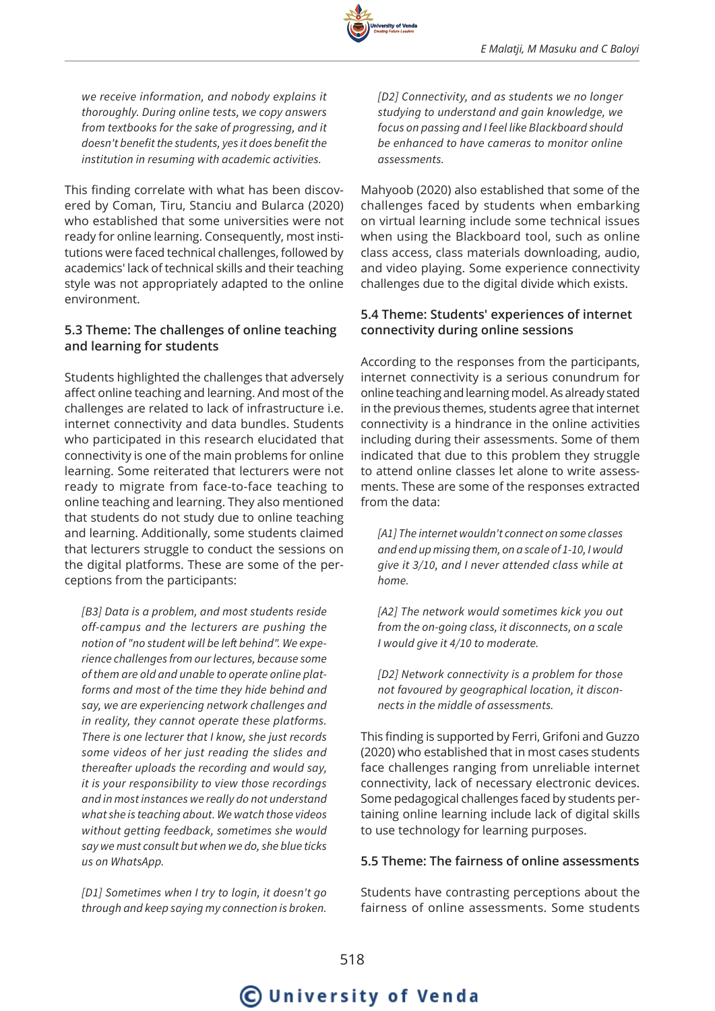*we receive information, and nobody explains it thoroughly. During online tests, we copy answers from textbooks for the sake of progressing, and it doesn't benefit the students, yes it does benefit the institution in resuming with academic activities.*

This finding correlate with what has been discovered by Coman, Tiru, Stanciu and Bularca (2020) who established that some universities were not ready for online learning. Consequently, most institutions were faced technical challenges, followed by academics' lack of technical skills and their teaching style was not appropriately adapted to the online environment.

### **5.3 Theme: The challenges of online teaching and learning for students**

Students highlighted the challenges that adversely affect online teaching and learning. And most of the challenges are related to lack of infrastructure i.e. internet connectivity and data bundles. Students who participated in this research elucidated that connectivity is one of the main problems for online learning. Some reiterated that lecturers were not ready to migrate from face-to-face teaching to online teaching and learning. They also mentioned that students do not study due to online teaching and learning. Additionally, some students claimed that lecturers struggle to conduct the sessions on the digital platforms. These are some of the perceptions from the participants:

*[B3] Data is a problem, and most students reside off-campus and the lecturers are pushing the notion of "no student will be left behind". We experience challenges from our lectures, because some of them are old and unable to operate online platforms and most of the time they hide behind and say, we are experiencing network challenges and in reality, they cannot operate these platforms. There is one lecturer that I know, she just records some videos of her just reading the slides and thereafter uploads the recording and would say, it is your responsibility to view those recordings and in most instances we really do not understand what she is teaching about. We watch those videos without getting feedback, sometimes she would say we must consult but when we do, she blue ticks us on WhatsApp.*

*[D1] Sometimes when I try to login, it doesn't go through and keep saying my connection is broken.* *[D2] Connectivity, and as students we no longer studying to understand and gain knowledge, we focus on passing and I feel like Blackboard should be enhanced to have cameras to monitor online assessments.*

Mahyoob (2020) also established that some of the challenges faced by students when embarking on virtual learning include some technical issues when using the Blackboard tool, such as online class access, class materials downloading, audio, and video playing. Some experience connectivity challenges due to the digital divide which exists.

### **5.4 Theme: Students' experiences of internet connectivity during online sessions**

According to the responses from the participants, internet connectivity is a serious conundrum for online teaching and learning model. As already stated in the previous themes, students agree that internet connectivity is a hindrance in the online activities including during their assessments. Some of them indicated that due to this problem they struggle to attend online classes let alone to write assessments. These are some of the responses extracted from the data:

*[A1] The internet wouldn't connect on some classes and end up missing them, on a scale of 1-10, I would give it 3/10, and I never attended class while at home.*

*[A2] The network would sometimes kick you out from the on-going class, it disconnects, on a scale I would give it 4/10 to moderate.*

*[D2] Network connectivity is a problem for those not favoured by geographical location, it disconnects in the middle of assessments.*

This finding is supported by Ferri, Grifoni and Guzzo (2020) who established that in most cases students face challenges ranging from unreliable internet connectivity, lack of necessary electronic devices. Some pedagogical challenges faced by students pertaining online learning include lack of digital skills to use technology for learning purposes.

### **5.5 Theme: The fairness of online assessments**

Students have contrasting perceptions about the fairness of online assessments. Some students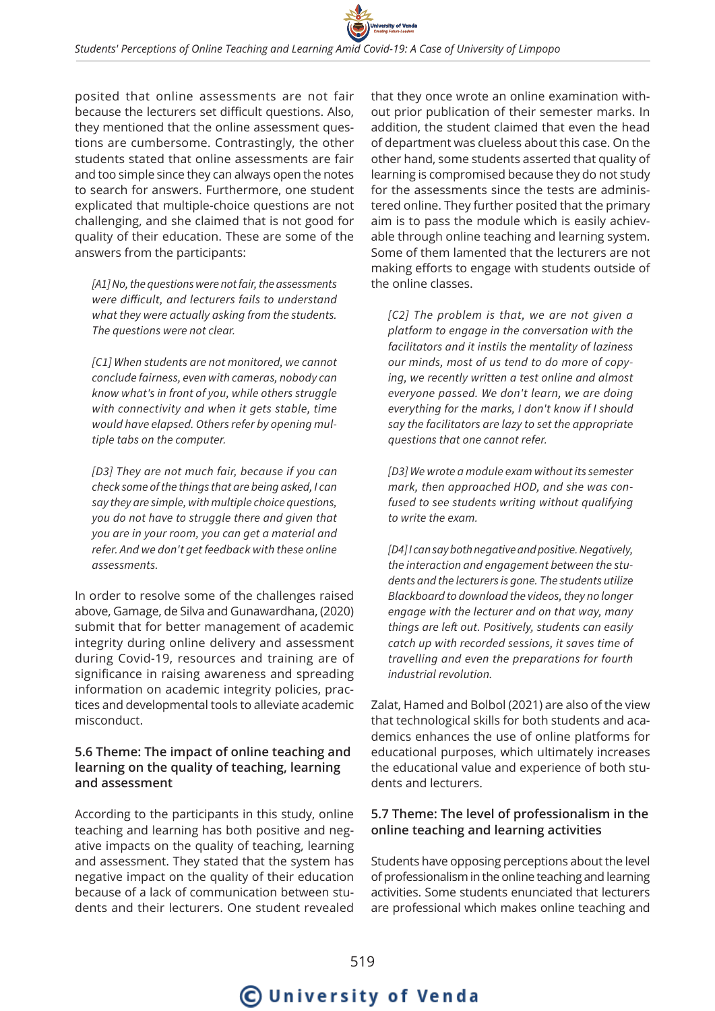posited that online assessments are not fair because the lecturers set difficult questions. Also, they mentioned that the online assessment questions are cumbersome. Contrastingly, the other students stated that online assessments are fair and too simple since they can always open the notes to search for answers. Furthermore, one student explicated that multiple-choice questions are not challenging, and she claimed that is not good for quality of their education. These are some of the answers from the participants:

*[A1] No, the questions were not fair, the assessments were difficult, and lecturers fails to understand what they were actually asking from the students. The questions were not clear.*

*[C1] When students are not monitored, we cannot conclude fairness, even with cameras, nobody can know what's in front of you, while others struggle with connectivity and when it gets stable, time would have elapsed. Others refer by opening multiple tabs on the computer.*

*[D3] They are not much fair, because if you can check some of the things that are being asked, I can say they are simple, with multiple choice questions, you do not have to struggle there and given that you are in your room, you can get a material and refer. And we don't get feedback with these online assessments.*

In order to resolve some of the challenges raised above, Gamage, de Silva and Gunawardhana, (2020) submit that for better management of academic integrity during online delivery and assessment during Covid-19, resources and training are of significance in raising awareness and spreading information on academic integrity policies, practices and developmental tools to alleviate academic misconduct.

### **5.6 Theme: The impact of online teaching and learning on the quality of teaching, learning and assessment**

According to the participants in this study, online teaching and learning has both positive and negative impacts on the quality of teaching, learning and assessment. They stated that the system has negative impact on the quality of their education because of a lack of communication between students and their lecturers. One student revealed

that they once wrote an online examination without prior publication of their semester marks. In addition, the student claimed that even the head of department was clueless about this case. On the other hand, some students asserted that quality of learning is compromised because they do not study for the assessments since the tests are administered online. They further posited that the primary aim is to pass the module which is easily achievable through online teaching and learning system. Some of them lamented that the lecturers are not making efforts to engage with students outside of the online classes.

*[C2] The problem is that, we are not given a platform to engage in the conversation with the facilitators and it instils the mentality of laziness our minds, most of us tend to do more of copying, we recently written a test online and almost everyone passed. We don't learn, we are doing everything for the marks, I don't know if I should say the facilitators are lazy to set the appropriate questions that one cannot refer.*

*[D3] We wrote a module exam without its semester mark, then approached HOD, and she was confused to see students writing without qualifying to write the exam.*

*[D4] I can say both negative and positive. Negatively, the interaction and engagement between the students and the lecturers is gone. The students utilize Blackboard to download the videos, they no longer engage with the lecturer and on that way, many things are left out. Positively, students can easily catch up with recorded sessions, it saves time of travelling and even the preparations for fourth industrial revolution.*

Zalat, Hamed and Bolbol (2021) are also of the view that technological skills for both students and academics enhances the use of online platforms for educational purposes, which ultimately increases the educational value and experience of both students and lecturers.

### **5.7 Theme: The level of professionalism in the online teaching and learning activities**

Students have opposing perceptions about the level of professionalism in the online teaching and learning activities. Some students enunciated that lecturers are professional which makes online teaching and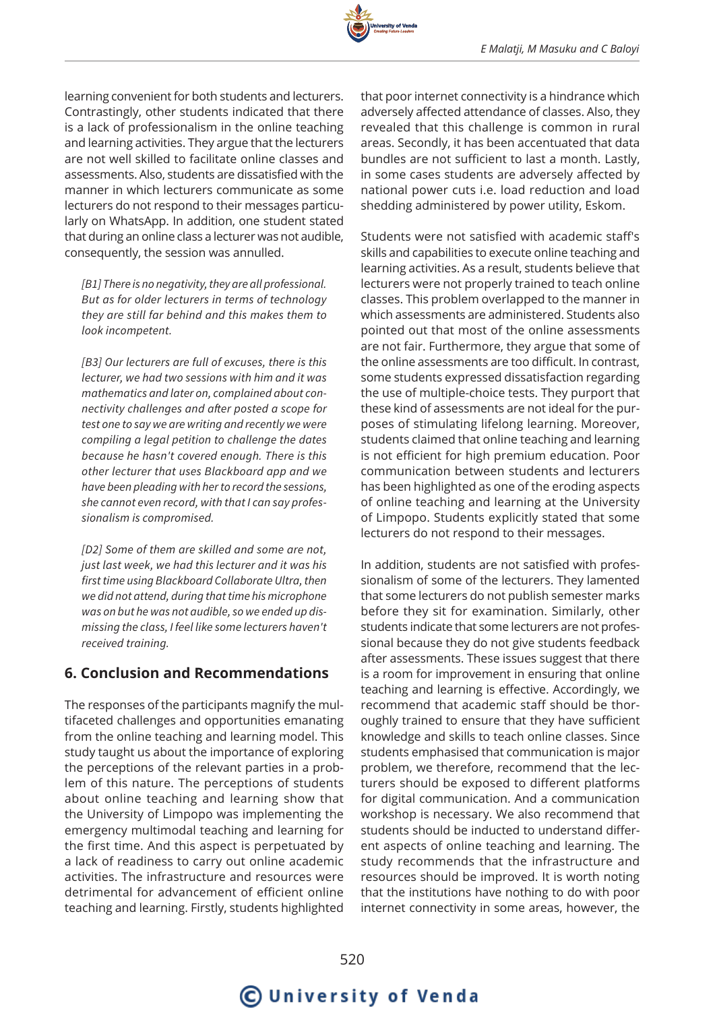learning convenient for both students and lecturers. Contrastingly, other students indicated that there is a lack of professionalism in the online teaching and learning activities. They argue that the lecturers are not well skilled to facilitate online classes and assessments. Also, students are dissatisfied with the manner in which lecturers communicate as some lecturers do not respond to their messages particularly on WhatsApp. In addition, one student stated that during an online class a lecturer was not audible, consequently, the session was annulled.

*[B1] There is no negativity, they are all professional. But as for older lecturers in terms of technology they are still far behind and this makes them to look incompetent.*

*[B3] Our lecturers are full of excuses, there is this lecturer, we had two sessions with him and it was mathematics and later on, complained about connectivity challenges and after posted a scope for test one to say we are writing and recently we were compiling a legal petition to challenge the dates because he hasn't covered enough. There is this other lecturer that uses Blackboard app and we have been pleading with her to record the sessions, she cannot even record, with that I can say professionalism is compromised.*

*[D2] Some of them are skilled and some are not, just last week, we had this lecturer and it was his first time using Blackboard Collaborate Ultra, then we did not attend, during that time his microphone was on but he was not audible, so we ended up dismissing the class, I feel like some lecturers haven't received training.*

## **6. Conclusion and Recommendations**

The responses of the participants magnify the multifaceted challenges and opportunities emanating from the online teaching and learning model. This study taught us about the importance of exploring the perceptions of the relevant parties in a problem of this nature. The perceptions of students about online teaching and learning show that the University of Limpopo was implementing the emergency multimodal teaching and learning for the first time. And this aspect is perpetuated by a lack of readiness to carry out online academic activities. The infrastructure and resources were detrimental for advancement of efficient online teaching and learning. Firstly, students highlighted

that poor internet connectivity is a hindrance which adversely affected attendance of classes. Also, they revealed that this challenge is common in rural areas. Secondly, it has been accentuated that data bundles are not sufficient to last a month. Lastly, in some cases students are adversely affected by national power cuts i.e. load reduction and load shedding administered by power utility, Eskom.

Students were not satisfied with academic staff's skills and capabilities to execute online teaching and learning activities. As a result, students believe that lecturers were not properly trained to teach online classes. This problem overlapped to the manner in which assessments are administered. Students also pointed out that most of the online assessments are not fair. Furthermore, they argue that some of the online assessments are too difficult. In contrast, some students expressed dissatisfaction regarding the use of multiple-choice tests. They purport that these kind of assessments are not ideal for the purposes of stimulating lifelong learning. Moreover, students claimed that online teaching and learning is not efficient for high premium education. Poor communication between students and lecturers has been highlighted as one of the eroding aspects of online teaching and learning at the University of Limpopo. Students explicitly stated that some lecturers do not respond to their messages.

In addition, students are not satisfied with professionalism of some of the lecturers. They lamented that some lecturers do not publish semester marks before they sit for examination. Similarly, other students indicate that some lecturers are not professional because they do not give students feedback after assessments. These issues suggest that there is a room for improvement in ensuring that online teaching and learning is effective. Accordingly, we recommend that academic staff should be thoroughly trained to ensure that they have sufficient knowledge and skills to teach online classes. Since students emphasised that communication is major problem, we therefore, recommend that the lecturers should be exposed to different platforms for digital communication. And a communication workshop is necessary. We also recommend that students should be inducted to understand different aspects of online teaching and learning. The study recommends that the infrastructure and resources should be improved. It is worth noting that the institutions have nothing to do with poor internet connectivity in some areas, however, the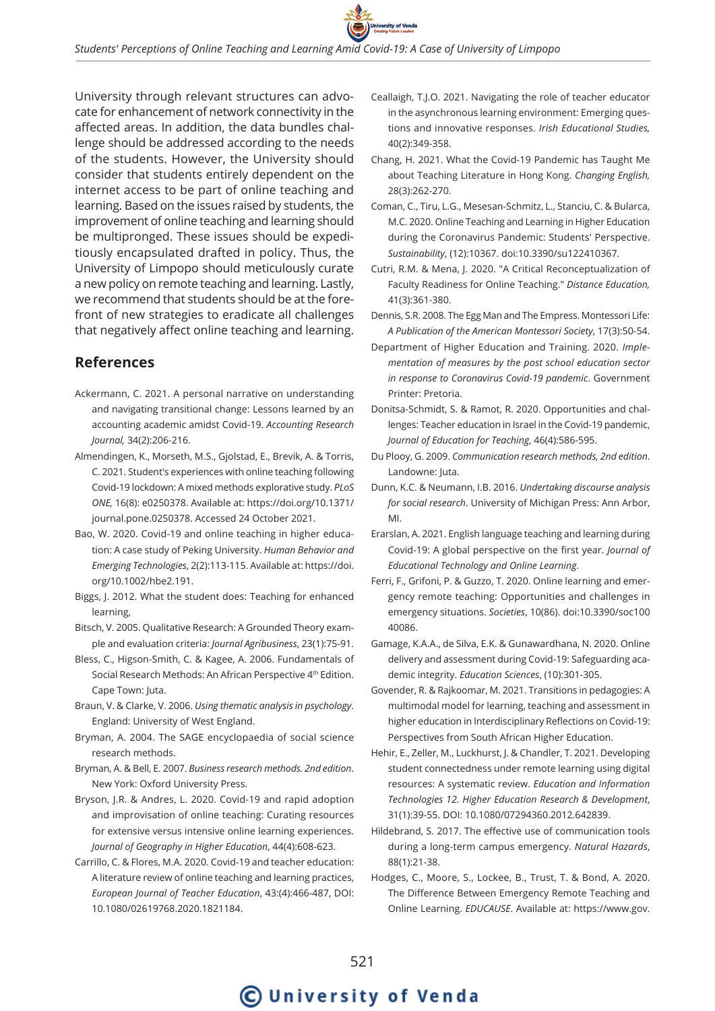

University through relevant structures can advocate for enhancement of network connectivity in the affected areas. In addition, the data bundles challenge should be addressed according to the needs of the students. However, the University should consider that students entirely dependent on the internet access to be part of online teaching and learning. Based on the issues raised by students, the improvement of online teaching and learning should be multipronged. These issues should be expeditiously encapsulated drafted in policy. Thus, the University of Limpopo should meticulously curate a new policy on remote teaching and learning. Lastly, we recommend that students should be at the forefront of new strategies to eradicate all challenges that negatively affect online teaching and learning.

## **References**

- Ackermann, C. 2021. A personal narrative on understanding and navigating transitional change: Lessons learned by an accounting academic amidst Covid-19. *Accounting Research Journal,* 34(2):206-216.
- Almendingen, K., Morseth, M.S., Gjolstad, E., Brevik, A. & Torris, C. 2021. Student's experiences with online teaching following Covid-19 lockdown: A mixed methods explorative study. *PLoS ONE,* 16(8): e0250378. Available at: https://doi.org/10.1371/ journal.pone.0250378. Accessed 24 October 2021.
- Bao, W. 2020. Covid-19 and online teaching in higher education: A case study of Peking University. *Human Behavior and Emerging Technologies*, 2(2):113-115. Available at: https://doi. org/10.1002/hbe2.191.
- Biggs, J. 2012. What the student does: Teaching for enhanced learning,
- Bitsch, V. 2005. Qualitative Research: A Grounded Theory example and evaluation criteria: *Journal Agribusiness*, 23(1):75-91.
- Bless, C., Higson-Smith, C. & Kagee, A. 2006. Fundamentals of Social Research Methods: An African Perspective 4<sup>th</sup> Edition. Cape Town: Juta.
- Braun, V. & Clarke, V. 2006. *Using thematic analysis in psychology*. England: University of West England.
- Bryman, A. 2004. The SAGE encyclopaedia of social science research methods.
- Bryman, A. & Bell, E. 2007. *Business research methods. 2nd edition*. New York: Oxford University Press.
- Bryson, J.R. & Andres, L. 2020. Covid-19 and rapid adoption and improvisation of online teaching: Curating resources for extensive versus intensive online learning experiences. *Journal of Geography in Higher Education*, 44(4):608-623.
- Carrillo, C. & Flores, M.A. 2020. Covid-19 and teacher education: A literature review of online teaching and learning practices, *European Journal of Teacher Education*, 43:(4):466-487, DOI: 10.1080/02619768.2020.1821184.
- Ceallaigh, T.J.O. 2021. Navigating the role of teacher educator in the asynchronous learning environment: Emerging questions and innovative responses. *Irish Educational Studies,* 40(2):349-358.
- Chang, H. 2021. What the Covid-19 Pandemic has Taught Me about Teaching Literature in Hong Kong. *Changing English,* 28(3):262-270.
- Coman, C., Tiru, L.G., Mesesan-Schmitz, L., Stanciu, C. & Bularca, M.C. 2020. Online Teaching and Learning in Higher Education during the Coronavirus Pandemic: Students' Perspective. *Sustainability*, (12):10367. doi:10.3390/su122410367.
- Cutri, R.M. & Mena, J. 2020. "A Critical Reconceptualization of Faculty Readiness for Online Teaching." *Distance Education,* 41(3):361-380.
- Dennis, S.R. 2008. The Egg Man and The Empress. Montessori Life: *A Publication of the American Montessori Society*, 17(3):50-54.
- Department of Higher Education and Training. 2020. *Implementation of measures by the post school education sector in response to Coronavirus Covid-19 pandemic*. Government Printer: Pretoria.
- Donitsa-Schmidt, S. & Ramot, R. 2020. Opportunities and challenges: Teacher education in Israel in the Covid-19 pandemic, *Journal of Education for Teaching*, 46(4):586-595.
- Du Plooy, G. 2009. *Communication research methods, 2nd edition*. Landowne: Juta.
- Dunn, K.C. & Neumann, I.B. 2016. *Undertaking discourse analysis for social research*. University of Michigan Press: Ann Arbor, MI.
- Erarslan, A. 2021. English language teaching and learning during Covid-19: A global perspective on the first year. *Journal of Educational Technology and Online Learning*.
- Ferri, F., Grifoni, P. & Guzzo, T. 2020. Online learning and emergency remote teaching: Opportunities and challenges in emergency situations. *Societies*, 10(86). doi:10.3390/soc100 40086.
- Gamage, K.A.A., de Silva, E.K. & Gunawardhana, N. 2020. Online delivery and assessment during Covid-19: Safeguarding academic integrity. *Education Sciences*, (10):301-305.
- Govender, R. & Rajkoomar, M. 2021. Transitions in pedagogies: A multimodal model for learning, teaching and assessment in higher education in Interdisciplinary Reflections on Covid-19: Perspectives from South African Higher Education.
- Hehir, E., Zeller, M., Luckhurst, J. & Chandler, T. 2021. Developing student connectedness under remote learning using digital resources: A systematic review. *Education and Information Technologies 12. Higher Education Research & Development*, 31(1):39-55. DOI: 10.1080/07294360.2012.642839.
- Hildebrand, S. 2017. The effective use of communication tools during a long-term campus emergency. *Natural Hazards*, 88(1):21-38.
- Hodges, C., Moore, S., Lockee, B., Trust, T. & Bond, A. 2020. The Difference Between Emergency Remote Teaching and Online Learning. *EDUCAUSE*. Available at: https://www.gov.